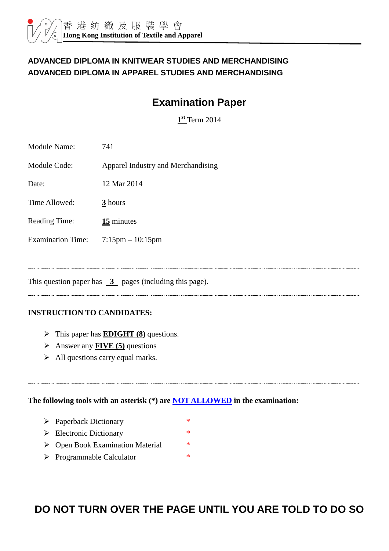#### **ADVANCED DIPLOMA IN KNITWEAR STUDIES AND MERCHANDISING ADVANCED DIPLOMA IN APPAREL STUDIES AND MERCHANDISING**

# **Examination Paper**

**1 st** Term 2014

| <b>Module Name:</b>      | 741                                |
|--------------------------|------------------------------------|
| <b>Module Code:</b>      | Apparel Industry and Merchandising |
| Date:                    | 12 Mar 2014                        |
| Time Allowed:            | 3 hours                            |
| <b>Reading Time:</b>     | 15 minutes                         |
| <b>Examination Time:</b> | $7:15 \text{pm} - 10:15 \text{pm}$ |

This question paper has  $\overline{3}$  pages (including this page).

#### **INSTRUCTION TO CANDIDATES:**

- This paper has **EDIGHT (8)** questions.
- Answer any **FIVE (5)** questions
- $\triangleright$  All questions carry equal marks.

**The following tools with an asterisk (\*) are NOT ALLOWED in the examination:** 

- Paperback Dictionary \*
- $\triangleright$  Electronic Dictionary \*
- ▶ Open Book Examination Material \*
- > Programmable Calculator \*

# **DO NOT TURN OVER THE PAGE UNTIL YOU ARE TOLD TO DO SO**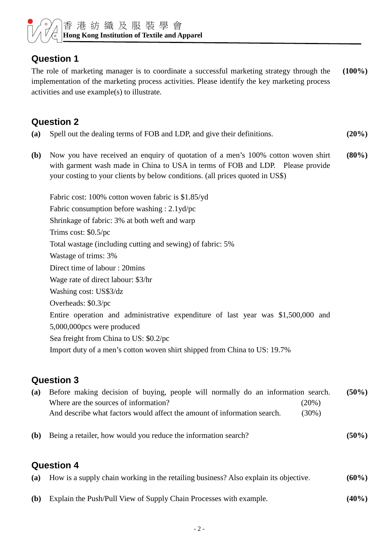

### **Question 1**

The role of marketing manager is to coordinate a successful marketing strategy through the implementation of the marketing process activities. Please identify the key marketing process activities and use example(s) to illustrate. **(100%)**

# **Question 2**

- **(a)** Spell out the dealing terms of FOB and LDP, and give their definitions. **(20%)**
- **(b)** Now you have received an enquiry of quotation of a men's 100% cotton woven shirt with garment wash made in China to USA in terms of FOB and LDP. Please provide your costing to your clients by below conditions. (all prices quoted in US\$) **(80%)**

Fabric cost: 100% cotton woven fabric is \$1.85/yd Fabric consumption before washing : 2.1yd/pc Shrinkage of fabric: 3% at both weft and warp Trims cost: \$0.5/pc Total wastage (including cutting and sewing) of fabric: 5% Wastage of trims: 3% Direct time of labour : 20mins Wage rate of direct labour: \$3/hr Washing cost: US\$3/dz Overheads: \$0.3/pc Entire operation and administrative expenditure of last year was \$1,500,000 and 5,000,000pcs were produced Sea freight from China to US: \$0.2/pc Import duty of a men's cotton woven shirt shipped from China to US: 19.7%

#### **Question 3**

| (a) Before making decision of buying, people will normally do an information search. |          | $(50\%)$ |
|--------------------------------------------------------------------------------------|----------|----------|
| Where are the sources of information?                                                | $(20\%)$ |          |
| And describe what factors would affect the amount of information search.             | $(30\%)$ |          |
| (b) Being a retailer, how would you reduce the information search?                   |          | $(50\%)$ |

#### **Question 4**

| (a) How is a supply chain working in the retailing business? Also explain its objective. | $(60\%)$ |
|------------------------------------------------------------------------------------------|----------|
| <b>(b)</b> Explain the Push/Pull View of Supply Chain Processes with example.            | $(40\%)$ |